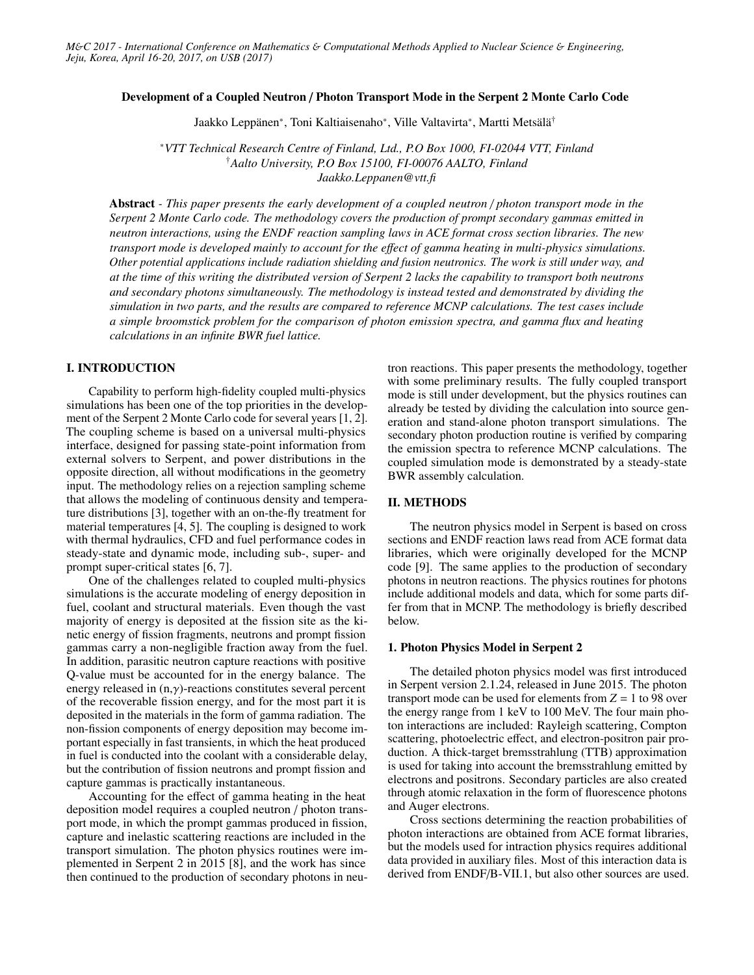#### Development of a Coupled Neutron / Photon Transport Mode in the Serpent 2 Monte Carlo Code

Jaakko Leppänen<sup>∗</sup> , Toni Kaltiaisenaho<sup>∗</sup> , Ville Valtavirta<sup>∗</sup> , Martti Metsälä†

<sup>∗</sup>*VTT Technical Research Centre of Finland, Ltd., P.O Box 1000, FI-02044 VTT, Finland* †*Aalto University, P.O Box 15100, FI-00076 AALTO, Finland Jaakko.Leppanen@vtt.fi*

Abstract *- This paper presents the early development of a coupled neutron* / *photon transport mode in the Serpent 2 Monte Carlo code. The methodology covers the production of prompt secondary gammas emitted in neutron interactions, using the ENDF reaction sampling laws in ACE format cross section libraries. The new transport mode is developed mainly to account for the e*ff*ect of gamma heating in multi-physics simulations. Other potential applications include radiation shielding and fusion neutronics. The work is still under way, and at the time of this writing the distributed version of Serpent 2 lacks the capability to transport both neutrons and secondary photons simultaneously. The methodology is instead tested and demonstrated by dividing the simulation in two parts, and the results are compared to reference MCNP calculations. The test cases include a simple broomstick problem for the comparison of photon emission spectra, and gamma flux and heating calculations in an infinite BWR fuel lattice.*

### I. INTRODUCTION

Capability to perform high-fidelity coupled multi-physics simulations has been one of the top priorities in the development of the Serpent 2 Monte Carlo code for several years [1, 2]. The coupling scheme is based on a universal multi-physics interface, designed for passing state-point information from external solvers to Serpent, and power distributions in the opposite direction, all without modifications in the geometry input. The methodology relies on a rejection sampling scheme that allows the modeling of continuous density and temperature distributions [3], together with an on-the-fly treatment for material temperatures [4, 5]. The coupling is designed to work with thermal hydraulics, CFD and fuel performance codes in steady-state and dynamic mode, including sub-, super- and prompt super-critical states [6, 7].

One of the challenges related to coupled multi-physics simulations is the accurate modeling of energy deposition in fuel, coolant and structural materials. Even though the vast majority of energy is deposited at the fission site as the kinetic energy of fission fragments, neutrons and prompt fission gammas carry a non-negligible fraction away from the fuel. In addition, parasitic neutron capture reactions with positive Q-value must be accounted for in the energy balance. The energy released in  $(n, \gamma)$ -reactions constitutes several percent of the recoverable fission energy, and for the most part it is deposited in the materials in the form of gamma radiation. The non-fission components of energy deposition may become important especially in fast transients, in which the heat produced in fuel is conducted into the coolant with a considerable delay, but the contribution of fission neutrons and prompt fission and capture gammas is practically instantaneous.

Accounting for the effect of gamma heating in the heat deposition model requires a coupled neutron / photon transport mode, in which the prompt gammas produced in fission, capture and inelastic scattering reactions are included in the transport simulation. The photon physics routines were implemented in Serpent 2 in 2015 [8], and the work has since then continued to the production of secondary photons in neutron reactions. This paper presents the methodology, together with some preliminary results. The fully coupled transport mode is still under development, but the physics routines can already be tested by dividing the calculation into source generation and stand-alone photon transport simulations. The secondary photon production routine is verified by comparing the emission spectra to reference MCNP calculations. The coupled simulation mode is demonstrated by a steady-state BWR assembly calculation.

### II. METHODS

The neutron physics model in Serpent is based on cross sections and ENDF reaction laws read from ACE format data libraries, which were originally developed for the MCNP code [9]. The same applies to the production of secondary photons in neutron reactions. The physics routines for photons include additional models and data, which for some parts differ from that in MCNP. The methodology is briefly described below.

## 1. Photon Physics Model in Serpent 2

The detailed photon physics model was first introduced in Serpent version 2.1.24, released in June 2015. The photon transport mode can be used for elements from  $Z = 1$  to 98 over the energy range from 1 keV to 100 MeV. The four main photon interactions are included: Rayleigh scattering, Compton scattering, photoelectric effect, and electron-positron pair production. A thick-target bremsstrahlung (TTB) approximation is used for taking into account the bremsstrahlung emitted by electrons and positrons. Secondary particles are also created through atomic relaxation in the form of fluorescence photons and Auger electrons.

Cross sections determining the reaction probabilities of photon interactions are obtained from ACE format libraries, but the models used for intraction physics requires additional data provided in auxiliary files. Most of this interaction data is derived from ENDF/B-VII.1, but also other sources are used.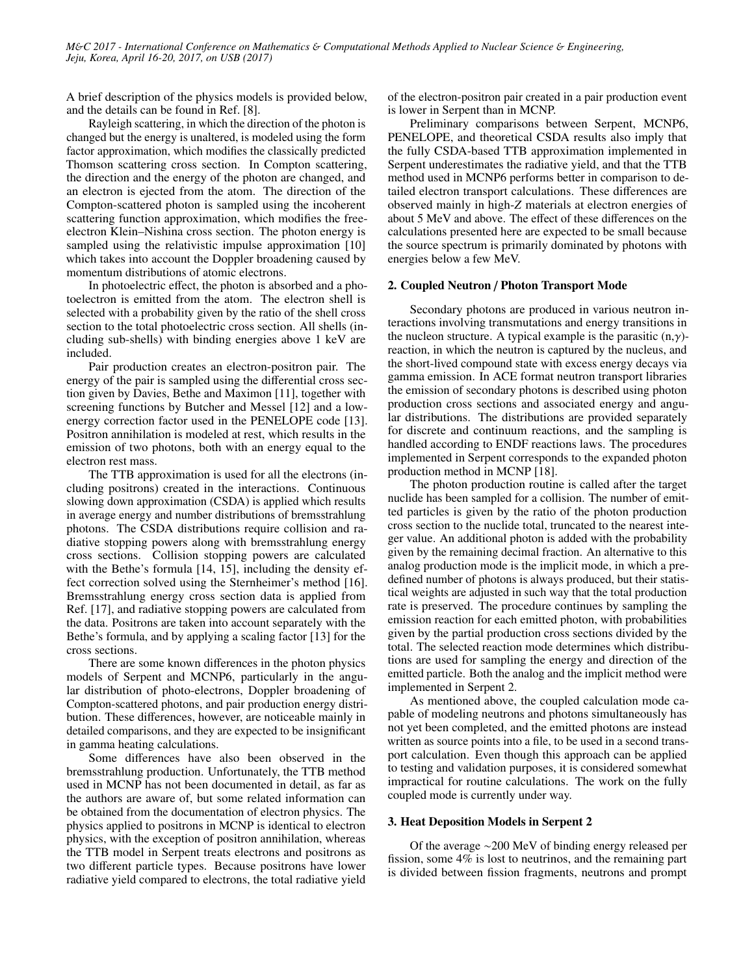A brief description of the physics models is provided below, and the details can be found in Ref. [8].

Rayleigh scattering, in which the direction of the photon is changed but the energy is unaltered, is modeled using the form factor approximation, which modifies the classically predicted Thomson scattering cross section. In Compton scattering, the direction and the energy of the photon are changed, and an electron is ejected from the atom. The direction of the Compton-scattered photon is sampled using the incoherent scattering function approximation, which modifies the freeelectron Klein–Nishina cross section. The photon energy is sampled using the relativistic impulse approximation [10] which takes into account the Doppler broadening caused by momentum distributions of atomic electrons.

In photoelectric effect, the photon is absorbed and a photoelectron is emitted from the atom. The electron shell is selected with a probability given by the ratio of the shell cross section to the total photoelectric cross section. All shells (including sub-shells) with binding energies above 1 keV are included.

Pair production creates an electron-positron pair. The energy of the pair is sampled using the differential cross section given by Davies, Bethe and Maximon [11], together with screening functions by Butcher and Messel [12] and a lowenergy correction factor used in the PENELOPE code [13]. Positron annihilation is modeled at rest, which results in the emission of two photons, both with an energy equal to the electron rest mass.

The TTB approximation is used for all the electrons (including positrons) created in the interactions. Continuous slowing down approximation (CSDA) is applied which results in average energy and number distributions of bremsstrahlung photons. The CSDA distributions require collision and radiative stopping powers along with bremsstrahlung energy cross sections. Collision stopping powers are calculated with the Bethe's formula [14, 15], including the density effect correction solved using the Sternheimer's method [16]. Bremsstrahlung energy cross section data is applied from Ref. [17], and radiative stopping powers are calculated from the data. Positrons are taken into account separately with the Bethe's formula, and by applying a scaling factor [13] for the cross sections.

There are some known differences in the photon physics models of Serpent and MCNP6, particularly in the angular distribution of photo-electrons, Doppler broadening of Compton-scattered photons, and pair production energy distribution. These differences, however, are noticeable mainly in detailed comparisons, and they are expected to be insignificant in gamma heating calculations.

Some differences have also been observed in the bremsstrahlung production. Unfortunately, the TTB method used in MCNP has not been documented in detail, as far as the authors are aware of, but some related information can be obtained from the documentation of electron physics. The physics applied to positrons in MCNP is identical to electron physics, with the exception of positron annihilation, whereas the TTB model in Serpent treats electrons and positrons as two different particle types. Because positrons have lower radiative yield compared to electrons, the total radiative yield of the electron-positron pair created in a pair production event is lower in Serpent than in MCNP.

Preliminary comparisons between Serpent, MCNP6, PENELOPE, and theoretical CSDA results also imply that the fully CSDA-based TTB approximation implemented in Serpent underestimates the radiative yield, and that the TTB method used in MCNP6 performs better in comparison to detailed electron transport calculations. These differences are observed mainly in high-*Z* materials at electron energies of about 5 MeV and above. The effect of these differences on the calculations presented here are expected to be small because the source spectrum is primarily dominated by photons with energies below a few MeV.

### 2. Coupled Neutron / Photon Transport Mode

Secondary photons are produced in various neutron interactions involving transmutations and energy transitions in the nucleon structure. A typical example is the parasitic  $(n, \gamma)$ reaction, in which the neutron is captured by the nucleus, and the short-lived compound state with excess energy decays via gamma emission. In ACE format neutron transport libraries the emission of secondary photons is described using photon production cross sections and associated energy and angular distributions. The distributions are provided separately for discrete and continuum reactions, and the sampling is handled according to ENDF reactions laws. The procedures implemented in Serpent corresponds to the expanded photon production method in MCNP [18].

The photon production routine is called after the target nuclide has been sampled for a collision. The number of emitted particles is given by the ratio of the photon production cross section to the nuclide total, truncated to the nearest integer value. An additional photon is added with the probability given by the remaining decimal fraction. An alternative to this analog production mode is the implicit mode, in which a predefined number of photons is always produced, but their statistical weights are adjusted in such way that the total production rate is preserved. The procedure continues by sampling the emission reaction for each emitted photon, with probabilities given by the partial production cross sections divided by the total. The selected reaction mode determines which distributions are used for sampling the energy and direction of the emitted particle. Both the analog and the implicit method were implemented in Serpent 2.

As mentioned above, the coupled calculation mode capable of modeling neutrons and photons simultaneously has not yet been completed, and the emitted photons are instead written as source points into a file, to be used in a second transport calculation. Even though this approach can be applied to testing and validation purposes, it is considered somewhat impractical for routine calculations. The work on the fully coupled mode is currently under way.

## 3. Heat Deposition Models in Serpent 2

Of the average ∼200 MeV of binding energy released per fission, some 4% is lost to neutrinos, and the remaining part is divided between fission fragments, neutrons and prompt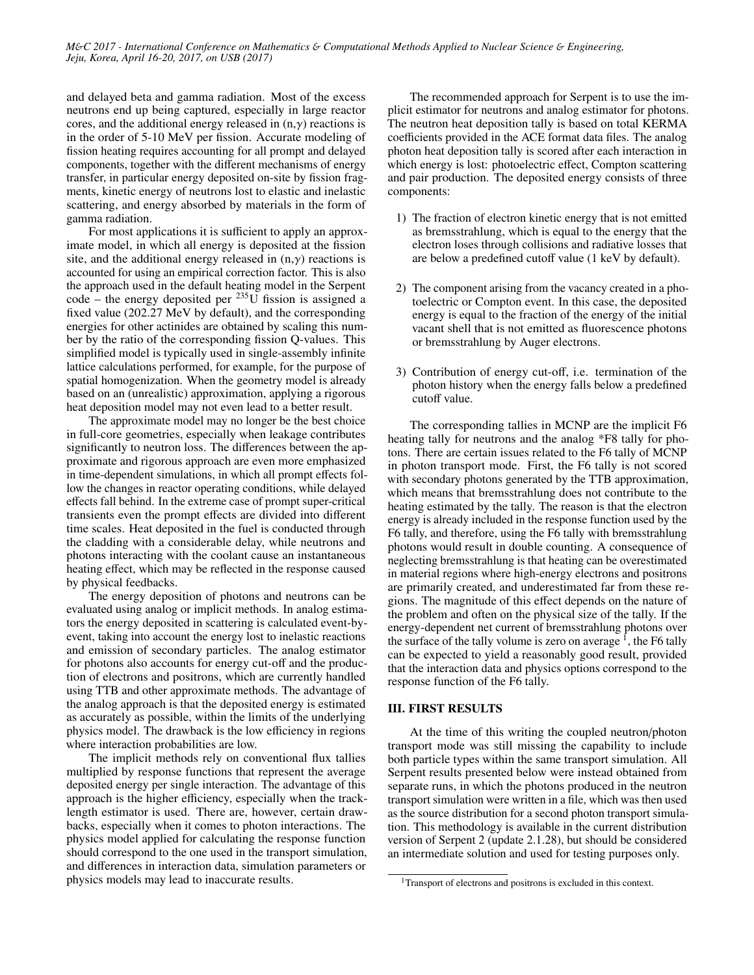and delayed beta and gamma radiation. Most of the excess neutrons end up being captured, especially in large reactor cores, and the additional energy released in  $(n, \gamma)$  reactions is in the order of 5-10 MeV per fission. Accurate modeling of fission heating requires accounting for all prompt and delayed components, together with the different mechanisms of energy transfer, in particular energy deposited on-site by fission fragments, kinetic energy of neutrons lost to elastic and inelastic scattering, and energy absorbed by materials in the form of gamma radiation.

For most applications it is sufficient to apply an approximate model, in which all energy is deposited at the fission site, and the additional energy released in  $(n, \gamma)$  reactions is accounted for using an empirical correction factor. This is also the approach used in the default heating model in the Serpent code – the energy deposited per  $^{235}$ U fission is assigned a fixed value (202.27 MeV by default), and the corresponding energies for other actinides are obtained by scaling this number by the ratio of the corresponding fission Q-values. This simplified model is typically used in single-assembly infinite lattice calculations performed, for example, for the purpose of spatial homogenization. When the geometry model is already based on an (unrealistic) approximation, applying a rigorous heat deposition model may not even lead to a better result.

The approximate model may no longer be the best choice in full-core geometries, especially when leakage contributes significantly to neutron loss. The differences between the approximate and rigorous approach are even more emphasized in time-dependent simulations, in which all prompt effects follow the changes in reactor operating conditions, while delayed effects fall behind. In the extreme case of prompt super-critical transients even the prompt effects are divided into different time scales. Heat deposited in the fuel is conducted through the cladding with a considerable delay, while neutrons and photons interacting with the coolant cause an instantaneous heating effect, which may be reflected in the response caused by physical feedbacks.

The energy deposition of photons and neutrons can be evaluated using analog or implicit methods. In analog estimators the energy deposited in scattering is calculated event-byevent, taking into account the energy lost to inelastic reactions and emission of secondary particles. The analog estimator for photons also accounts for energy cut-off and the production of electrons and positrons, which are currently handled using TTB and other approximate methods. The advantage of the analog approach is that the deposited energy is estimated as accurately as possible, within the limits of the underlying physics model. The drawback is the low efficiency in regions where interaction probabilities are low.

The implicit methods rely on conventional flux tallies multiplied by response functions that represent the average deposited energy per single interaction. The advantage of this approach is the higher efficiency, especially when the tracklength estimator is used. There are, however, certain drawbacks, especially when it comes to photon interactions. The physics model applied for calculating the response function should correspond to the one used in the transport simulation, and differences in interaction data, simulation parameters or physics models may lead to inaccurate results.

The recommended approach for Serpent is to use the implicit estimator for neutrons and analog estimator for photons. The neutron heat deposition tally is based on total KERMA coefficients provided in the ACE format data files. The analog photon heat deposition tally is scored after each interaction in which energy is lost: photoelectric effect, Compton scattering and pair production. The deposited energy consists of three components:

- 1) The fraction of electron kinetic energy that is not emitted as bremsstrahlung, which is equal to the energy that the electron loses through collisions and radiative losses that are below a predefined cutoff value (1 keV by default).
- 2) The component arising from the vacancy created in a photoelectric or Compton event. In this case, the deposited energy is equal to the fraction of the energy of the initial vacant shell that is not emitted as fluorescence photons or bremsstrahlung by Auger electrons.
- 3) Contribution of energy cut-off, i.e. termination of the photon history when the energy falls below a predefined cutoff value.

The corresponding tallies in MCNP are the implicit F6 heating tally for neutrons and the analog \*F8 tally for photons. There are certain issues related to the F6 tally of MCNP in photon transport mode. First, the F6 tally is not scored with secondary photons generated by the TTB approximation, which means that bremsstrahlung does not contribute to the heating estimated by the tally. The reason is that the electron energy is already included in the response function used by the F6 tally, and therefore, using the F6 tally with bremsstrahlung photons would result in double counting. A consequence of neglecting bremsstrahlung is that heating can be overestimated in material regions where high-energy electrons and positrons are primarily created, and underestimated far from these regions. The magnitude of this effect depends on the nature of the problem and often on the physical size of the tally. If the energy-dependent net current of bremsstrahlung photons over the surface of the tally volume is zero on average  $\frac{1}{1}$ , the F6 tally can be expected to yield a reasonably good result, provided that the interaction data and physics options correspond to the response function of the F6 tally.

# III. FIRST RESULTS

At the time of this writing the coupled neutron/photon transport mode was still missing the capability to include both particle types within the same transport simulation. All Serpent results presented below were instead obtained from separate runs, in which the photons produced in the neutron transport simulation were written in a file, which was then used as the source distribution for a second photon transport simulation. This methodology is available in the current distribution version of Serpent 2 (update 2.1.28), but should be considered an intermediate solution and used for testing purposes only.

<sup>&</sup>lt;sup>1</sup>Transport of electrons and positrons is excluded in this context.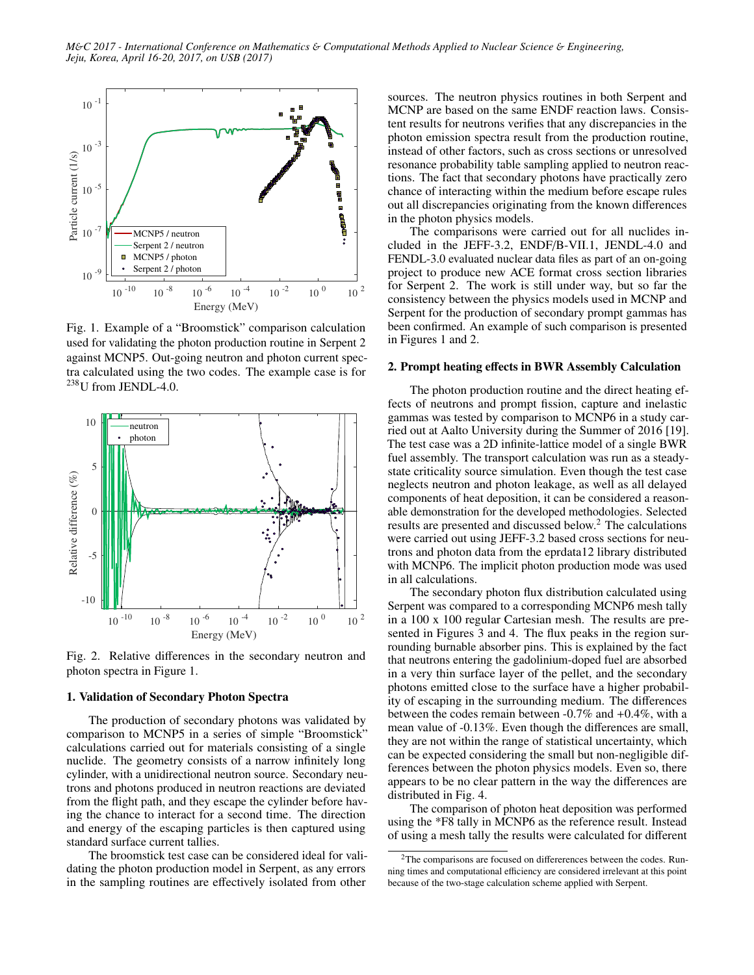

Fig. 1. Example of a "Broomstick" comparison calculation used for validating the photon production routine in Serpent 2 against MCNP5. Out-going neutron and photon current spectra calculated using the two codes. The example case is for  $^{238}$ U from JENDL-4.0.



Fig. 2. Relative differences in the secondary neutron and photon spectra in Figure 1.

# 1. Validation of Secondary Photon Spectra

The production of secondary photons was validated by comparison to MCNP5 in a series of simple "Broomstick" calculations carried out for materials consisting of a single nuclide. The geometry consists of a narrow infinitely long cylinder, with a unidirectional neutron source. Secondary neutrons and photons produced in neutron reactions are deviated from the flight path, and they escape the cylinder before having the chance to interact for a second time. The direction and energy of the escaping particles is then captured using standard surface current tallies.

The broomstick test case can be considered ideal for validating the photon production model in Serpent, as any errors in the sampling routines are effectively isolated from other

sources. The neutron physics routines in both Serpent and MCNP are based on the same ENDF reaction laws. Consistent results for neutrons verifies that any discrepancies in the photon emission spectra result from the production routine, instead of other factors, such as cross sections or unresolved resonance probability table sampling applied to neutron reactions. The fact that secondary photons have practically zero chance of interacting within the medium before escape rules out all discrepancies originating from the known differences in the photon physics models.

The comparisons were carried out for all nuclides included in the JEFF-3.2, ENDF/B-VII.1, JENDL-4.0 and FENDL-3.0 evaluated nuclear data files as part of an on-going project to produce new ACE format cross section libraries for Serpent 2. The work is still under way, but so far the consistency between the physics models used in MCNP and Serpent for the production of secondary prompt gammas has been confirmed. An example of such comparison is presented in Figures 1 and 2.

### 2. Prompt heating effects in BWR Assembly Calculation

The photon production routine and the direct heating effects of neutrons and prompt fission, capture and inelastic gammas was tested by comparison to MCNP6 in a study carried out at Aalto University during the Summer of 2016 [19]. The test case was a 2D infinite-lattice model of a single BWR fuel assembly. The transport calculation was run as a steadystate criticality source simulation. Even though the test case neglects neutron and photon leakage, as well as all delayed components of heat deposition, it can be considered a reasonable demonstration for the developed methodologies. Selected results are presented and discussed below.<sup>2</sup> The calculations were carried out using JEFF-3.2 based cross sections for neutrons and photon data from the eprdata12 library distributed with MCNP6. The implicit photon production mode was used in all calculations.

The secondary photon flux distribution calculated using Serpent was compared to a corresponding MCNP6 mesh tally in a 100 x 100 regular Cartesian mesh. The results are presented in Figures 3 and 4. The flux peaks in the region surrounding burnable absorber pins. This is explained by the fact that neutrons entering the gadolinium-doped fuel are absorbed in a very thin surface layer of the pellet, and the secondary photons emitted close to the surface have a higher probability of escaping in the surrounding medium. The differences between the codes remain between -0.7% and +0.4%, with a mean value of -0.13%. Even though the differences are small, they are not within the range of statistical uncertainty, which can be expected considering the small but non-negligible differences between the photon physics models. Even so, there appears to be no clear pattern in the way the differences are distributed in Fig. 4.

The comparison of photon heat deposition was performed using the \*F8 tally in MCNP6 as the reference result. Instead of using a mesh tally the results were calculated for different

<sup>2</sup>The comparisons are focused on differerences between the codes. Running times and computational efficiency are considered irrelevant at this point because of the two-stage calculation scheme applied with Serpent.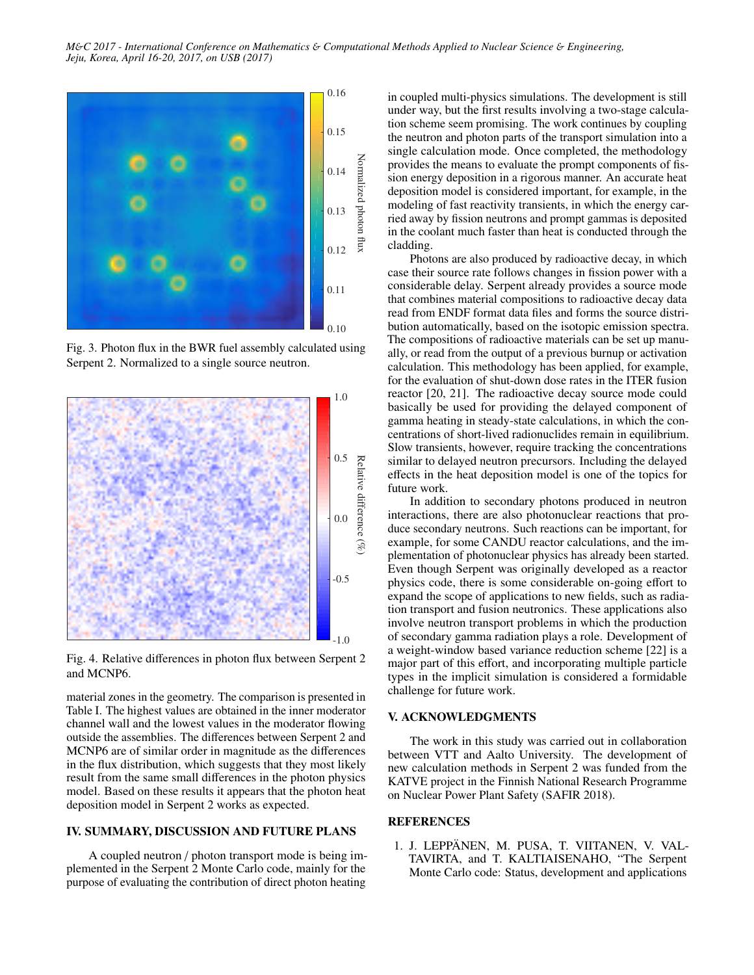*M*&*C 2017 - International Conference on Mathematics* & *Computational Methods Applied to Nuclear Science* & *Engineering, Jeju, Korea, April 16-20, 2017, on USB (2017)*



Fig. 3. Photon flux in the BWR fuel assembly calculated using Serpent 2. Normalized to a single source neutron.



Fig. 4. Relative differences in photon flux between Serpent 2 and MCNP6.

material zones in the geometry. The comparison is presented in Table I. The highest values are obtained in the inner moderator channel wall and the lowest values in the moderator flowing outside the assemblies. The differences between Serpent 2 and MCNP6 are of similar order in magnitude as the differences in the flux distribution, which suggests that they most likely result from the same small differences in the photon physics model. Based on these results it appears that the photon heat deposition model in Serpent 2 works as expected.

### IV. SUMMARY, DISCUSSION AND FUTURE PLANS

A coupled neutron / photon transport mode is being implemented in the Serpent 2 Monte Carlo code, mainly for the purpose of evaluating the contribution of direct photon heating

in coupled multi-physics simulations. The development is still under way, but the first results involving a two-stage calculation scheme seem promising. The work continues by coupling the neutron and photon parts of the transport simulation into a single calculation mode. Once completed, the methodology provides the means to evaluate the prompt components of fission energy deposition in a rigorous manner. An accurate heat deposition model is considered important, for example, in the modeling of fast reactivity transients, in which the energy carried away by fission neutrons and prompt gammas is deposited in the coolant much faster than heat is conducted through the cladding.

Photons are also produced by radioactive decay, in which case their source rate follows changes in fission power with a considerable delay. Serpent already provides a source mode that combines material compositions to radioactive decay data read from ENDF format data files and forms the source distribution automatically, based on the isotopic emission spectra. The compositions of radioactive materials can be set up manually, or read from the output of a previous burnup or activation calculation. This methodology has been applied, for example, for the evaluation of shut-down dose rates in the ITER fusion reactor [20, 21]. The radioactive decay source mode could basically be used for providing the delayed component of gamma heating in steady-state calculations, in which the concentrations of short-lived radionuclides remain in equilibrium. Slow transients, however, require tracking the concentrations similar to delayed neutron precursors. Including the delayed effects in the heat deposition model is one of the topics for future work.

In addition to secondary photons produced in neutron interactions, there are also photonuclear reactions that produce secondary neutrons. Such reactions can be important, for example, for some CANDU reactor calculations, and the implementation of photonuclear physics has already been started. Even though Serpent was originally developed as a reactor physics code, there is some considerable on-going effort to expand the scope of applications to new fields, such as radiation transport and fusion neutronics. These applications also involve neutron transport problems in which the production of secondary gamma radiation plays a role. Development of a weight-window based variance reduction scheme [22] is a major part of this effort, and incorporating multiple particle types in the implicit simulation is considered a formidable challenge for future work.

## V. ACKNOWLEDGMENTS

The work in this study was carried out in collaboration between VTT and Aalto University. The development of new calculation methods in Serpent 2 was funded from the KATVE project in the Finnish National Research Programme on Nuclear Power Plant Safety (SAFIR 2018).

## REFERENCES

1. J. LEPPÄNEN, M. PUSA, T. VIITANEN, V. VAL-TAVIRTA, and T. KALTIAISENAHO, "The Serpent Monte Carlo code: Status, development and applications